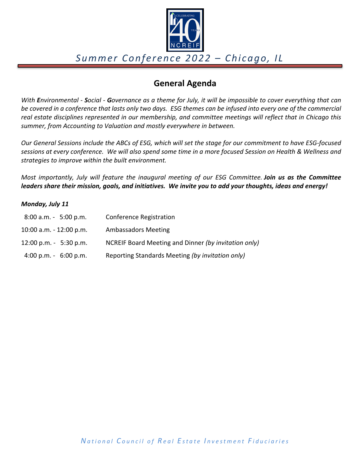

### **General Agenda**

*With Environmental ‐ Social ‐ Governance as a theme for July, it will be impossible to cover everything that can be covered in a conference that lasts only two days. ESG themes can be infused into every one of the commercial real estate disciplines represented in our membership, and committee meetings will reflect that in Chicago this summer, from Accounting to Valuation and mostly everywhere in between.*

*Our General Sessions include the ABCs of ESG, which will set the stage for our commitment to have ESG‐focused sessions at every conference. We will also spend some time in a more focused Session on Health & Wellness and strategies to improve within the built environment.*

*Most importantly, July will feature the inaugural meeting of our ESG Committee. Join us as the Committee* leaders share their mission, goals, and initiatives. We invite you to add your thoughts, ideas and energy!

#### *Monday, July 11*

| $8:00$ a.m. $-5:00$ p.m.  | Conference Registration                              |
|---------------------------|------------------------------------------------------|
| 10:00 a.m. - 12:00 p.m.   | <b>Ambassadors Meeting</b>                           |
| $12:00$ p.m. $-5:30$ p.m. | NCREIF Board Meeting and Dinner (by invitation only) |
| 4:00 p.m. $-6:00$ p.m.    | Reporting Standards Meeting (by invitation only)     |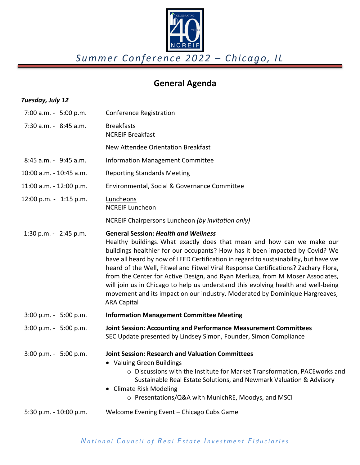

# **General Agenda**

### *Tuesday, July 12*

| $7:00$ a.m. $-5:00$ p.m.  | <b>Conference Registration</b>                                                                                                                                                                                                                                                                                                                                                                                                                                                                                                                                                                                                                                 |
|---------------------------|----------------------------------------------------------------------------------------------------------------------------------------------------------------------------------------------------------------------------------------------------------------------------------------------------------------------------------------------------------------------------------------------------------------------------------------------------------------------------------------------------------------------------------------------------------------------------------------------------------------------------------------------------------------|
| 7:30 a.m. - 8:45 a.m.     | <b>Breakfasts</b><br><b>NCREIF Breakfast</b>                                                                                                                                                                                                                                                                                                                                                                                                                                                                                                                                                                                                                   |
|                           | New Attendee Orientation Breakfast                                                                                                                                                                                                                                                                                                                                                                                                                                                                                                                                                                                                                             |
| 8:45 a.m. - 9:45 a.m.     | <b>Information Management Committee</b>                                                                                                                                                                                                                                                                                                                                                                                                                                                                                                                                                                                                                        |
| 10:00 a.m. - 10:45 a.m.   | <b>Reporting Standards Meeting</b>                                                                                                                                                                                                                                                                                                                                                                                                                                                                                                                                                                                                                             |
| 11:00 a.m. - 12:00 p.m.   | Environmental, Social & Governance Committee                                                                                                                                                                                                                                                                                                                                                                                                                                                                                                                                                                                                                   |
| 12:00 p.m. - 1:15 p.m.    | Luncheons<br><b>NCREIF Luncheon</b>                                                                                                                                                                                                                                                                                                                                                                                                                                                                                                                                                                                                                            |
|                           | NCREIF Chairpersons Luncheon (by invitation only)                                                                                                                                                                                                                                                                                                                                                                                                                                                                                                                                                                                                              |
| 1:30 p.m. - 2:45 p.m.     | <b>General Session: Health and Wellness</b><br>Healthy buildings. What exactly does that mean and how can we make our<br>buildings healthier for our occupants? How has it been impacted by Covid? We<br>have all heard by now of LEED Certification in regard to sustainability, but have we<br>heard of the Well, Fitwel and Fitwel Viral Response Certifications? Zachary Flora,<br>from the Center for Active Design, and Ryan Merluza, from M Moser Associates,<br>will join us in Chicago to help us understand this evolving health and well-being<br>movement and its impact on our industry. Moderated by Dominique Hargreaves,<br><b>ARA Capital</b> |
| $3:00$ p.m. - $5:00$ p.m. | <b>Information Management Committee Meeting</b>                                                                                                                                                                                                                                                                                                                                                                                                                                                                                                                                                                                                                |
| 3:00 p.m. - 5:00 p.m.     | Joint Session: Accounting and Performance Measurement Committees<br>SEC Update presented by Lindsey Simon, Founder, Simon Compliance                                                                                                                                                                                                                                                                                                                                                                                                                                                                                                                           |
| $3:00$ p.m. - $5:00$ p.m. | <b>Joint Session: Research and Valuation Committees</b><br>• Valuing Green Buildings<br>o Discussions with the Institute for Market Transformation, PACEworks and<br>Sustainable Real Estate Solutions, and Newmark Valuation & Advisory<br>• Climate Risk Modeling<br>○ Presentations/Q&A with MunichRE, Moodys, and MSCI                                                                                                                                                                                                                                                                                                                                     |
| 5:30 p.m. - 10:00 p.m.    | Welcome Evening Event - Chicago Cubs Game                                                                                                                                                                                                                                                                                                                                                                                                                                                                                                                                                                                                                      |
|                           |                                                                                                                                                                                                                                                                                                                                                                                                                                                                                                                                                                                                                                                                |

### *National C ouncil of R eal E state I nvestment F iduciaries*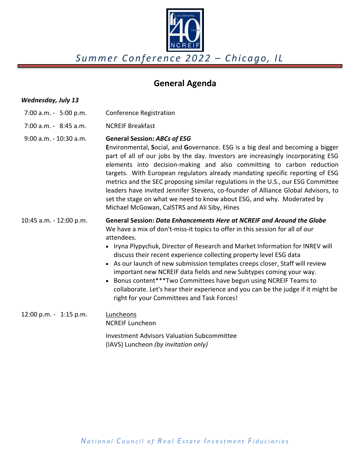

### **General Agenda**

### *Wednesday, July 13*

- 7:00 a.m. ‐ 5:00 p.m. Conference Registration
- 7:00 a.m. ‐ 8:45 a.m. NCREIF Breakfast
- 9:00 a.m. ‐ 10:30 a.m. **General Session:** *ABCs of ESG*

**E**nvironmental, **S**ocial, and **G**overnance. ESG is a big deal and becoming a bigger part of all of our jobs by the day. Investors are increasingly incorporating ESG elements into decision‐making and also committing to carbon reduction targets. With European regulators already mandating specific reporting of ESG metrics and the SEC proposing similar regulations in the U.S., our ESG Committee leaders have invited Jennifer Stevens, co-founder of Alliance Global Advisors, to set the stage on what we need to know about ESG, and why. Moderated by Michael McGowan, CalSTRS and Ali Siby, Hines

#### 10:45 a.m. ‐ 12:00 p.m. **General Session:** *Data Enhancements Here at NCREIF and Around the Globe* We have a mix of don't-miss-it topics to offer in this session for all of our attendees.

- Iryna Plypychuk, Director of Research and Market Information for INREV will discuss their recent experience collecting property level ESG data
- As our launch of new submission templates creeps closer, Staff will review important new NCREIF data fields and new Subtypes coming your way.
- Bonus content\*\*\*Two Committees have begun using NCREIF Teams to collaborate. Let's hear their experience and you can be the judge if it might be right for your Committees and Task Forces!

### 12:00 p.m. - 1:15 p.m. Luncheons NCREIF Luncheon

 Investment Advisors Valuation Subcommittee (IAVS) Luncheon *(by invitation only)*